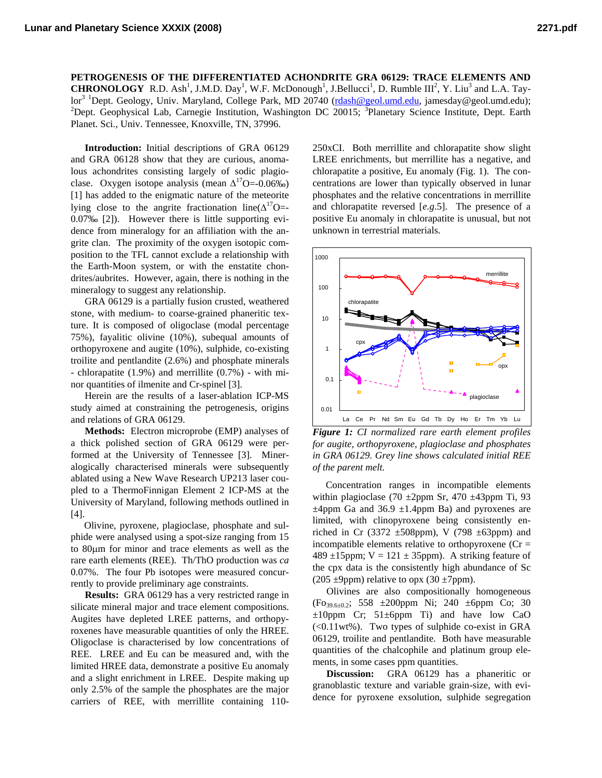**PETROGENESIS OF THE DIFFERENTIATED ACHONDRITE GRA 06129: TRACE ELEMENTS AND CHRONOLOGY** R.D. Ash<sup>1</sup>, J.M.D. Day<sup>1</sup>, W.F. McDonough<sup>1</sup>, J.Bellucci<sup>1</sup>, D. Rumble III<sup>2</sup>, Y. Liu<sup>3</sup> and L.A. Taylor<sup>3 1</sup>Dept. Geology, Univ. Maryland, College Park, MD 20740 (rdash@geol.umd.edu, jamesday@geol.umd.edu); <sup>2</sup>Dept. Geophysical Lab, Carnegie Institution, Washington DC 20015; <sup>3</sup>Planetary Science Institute, Dept. Earth Planet. Sci., Univ. Tennessee, Knoxville, TN, 37996.

**Introduction:** Initial descriptions of GRA 06129 and GRA 06128 show that they are curious, anomalous achondrites consisting largely of sodic plagioclase. Oxygen isotope analysis (mean  $\Delta^{17}O = -0.06\%$ ) [1] has added to the enigmatic nature of the meteorite lying close to the angrite fractionation line( $\Delta^{17}O=$ -0.07‰ [2]). However there is little supporting evidence from mineralogy for an affiliation with the angrite clan. The proximity of the oxygen isotopic composition to the TFL cannot exclude a relationship with the Earth-Moon system, or with the enstatite chondrites/aubrites. However, again, there is nothing in the mineralogy to suggest any relationship.

GRA 06129 is a partially fusion crusted, weathered stone, with medium- to coarse-grained phaneritic texture. It is composed of oligoclase (modal percentage 75%), fayalitic olivine (10%), subequal amounts of orthopyroxene and augite (10%), sulphide, co-existing troilite and pentlandite (2.6%) and phosphate minerals - chlorapatite (1.9%) and merrillite (0.7%) - with minor quantities of ilmenite and Cr-spinel [3].

Herein are the results of a laser-ablation ICP-MS study aimed at constraining the petrogenesis, origins and relations of GRA 06129.

**Methods:** Electron microprobe (EMP) analyses of a thick polished section of GRA 06129 were performed at the University of Tennessee [3]. Mineralogically characterised minerals were subsequently ablated using a New Wave Research UP213 laser coupled to a ThermoFinnigan Element 2 ICP-MS at the University of Maryland, following methods outlined in [4].

Olivine, pyroxene, plagioclase, phosphate and sulphide were analysed using a spot-size ranging from 15 to 80μm for minor and trace elements as well as the rare earth elements (REE). Th/ThO production was *ca*  0.07%. The four Pb isotopes were measured concurrently to provide preliminary age constraints.

**Results:** GRA 06129 has a very restricted range in silicate mineral major and trace element compositions. Augites have depleted LREE patterns, and orthopyroxenes have measurable quantities of only the HREE. Oligoclase is characterised by low concentrations of REE. LREE and Eu can be measured and, with the limited HREE data, demonstrate a positive Eu anomaly and a slight enrichment in LREE. Despite making up only 2.5% of the sample the phosphates are the major carriers of REE, with merrillite containing 110250xCI. Both merrillite and chlorapatite show slight LREE enrichments, but merrillite has a negative, and chlorapatite a positive, Eu anomaly (Fig. 1). The concentrations are lower than typically observed in lunar phosphates and the relative concentrations in merrillite and chlorapatite reversed [*e.g*.5]. The presence of a positive Eu anomaly in chlorapatite is unusual, but not unknown in terrestrial materials.



*Figure 1: CI normalized rare earth element profiles for augite, orthopyroxene, plagioclase and phosphates in GRA 06129. Grey line shows calculated initial REE of the parent melt.*

Concentration ranges in incompatible elements within plagioclase (70  $\pm$ 2ppm Sr, 470  $\pm$ 43ppm Ti, 93  $\pm 4$ ppm Ga and 36.9  $\pm 1.4$ ppm Ba) and pyroxenes are limited, with clinopyroxene being consistently enriched in Cr (3372  $\pm$ 508ppm), V (798  $\pm$ 63ppm) and incompatible elements relative to orthopyroxene  $(Cr =$ 489  $\pm$ 15ppm; V = 121  $\pm$  35ppm). A striking feature of the cpx data is the consistently high abundance of Sc (205  $\pm$ 9ppm) relative to opx (30  $\pm$ 7ppm).

Olivines are also compositionally homogeneous (Fo39.6±0.2; 558 ±200ppm Ni; 240 ±6ppm Co; 30  $\pm 10$ ppm Cr; 51 $\pm 6$ ppm Ti) and have low CaO (<0.11wt%). Two types of sulphide co-exist in GRA 06129, troilite and pentlandite. Both have measurable quantities of the chalcophile and platinum group elements, in some cases ppm quantities.

**Discussion:** GRA 06129 has a phaneritic or granoblastic texture and variable grain-size, with evidence for pyroxene exsolution, sulphide segregation